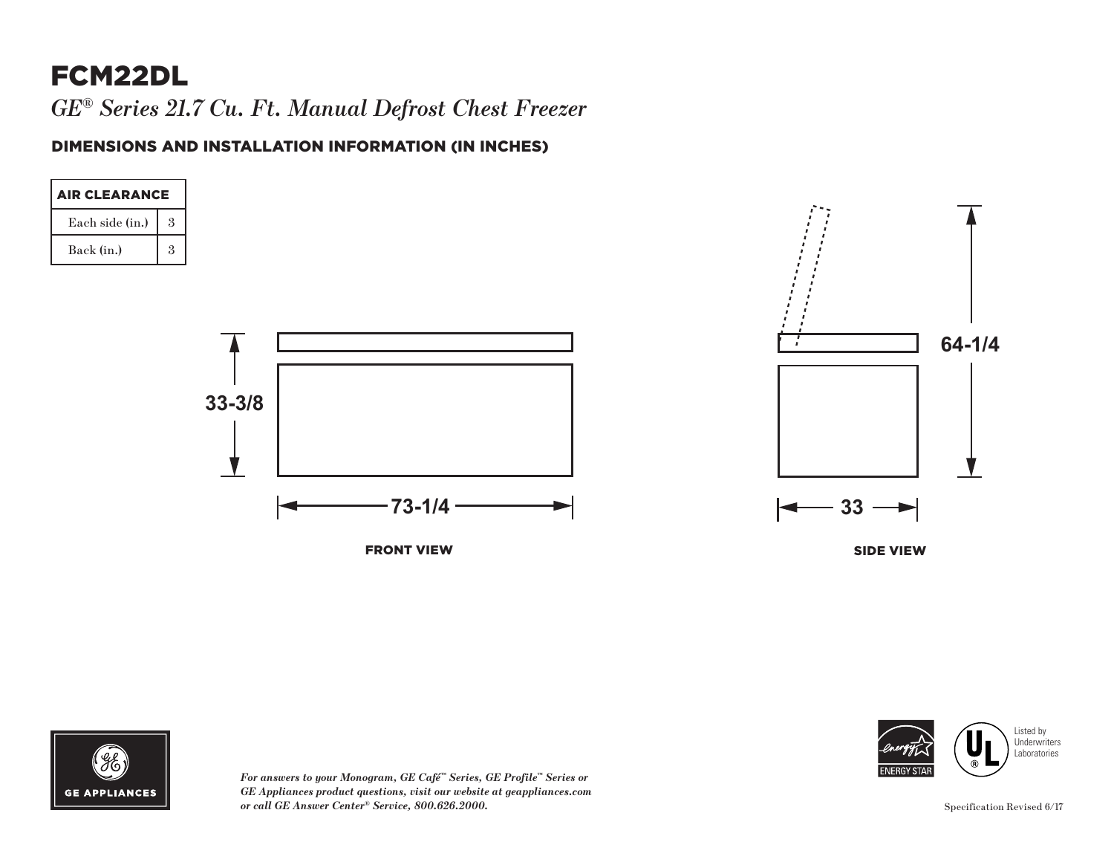# FCM22DL

*GE® Series 21.7 Cu. Ft. Manual Defrost Chest Freezer*

#### DIMENSIONS AND INSTALLATION INFORMATION (IN INCHES)





*For answers to your Monogram, GE Café™ Series, GE Profile™ Series or GE Appliances product questions, visit our website at geappliances.com or call GE Answer Center® Service, 800.626.2000.* Specification Revised 6/17